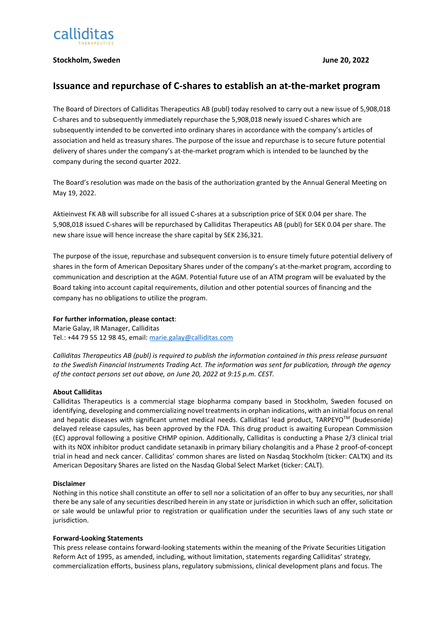

## **Stockholm, Sweden June 20, 2022**

# **Issuance and repurchase of C-shares to establish an at-the-market program**

The Board of Directors of Calliditas Therapeutics AB (publ) today resolved to carry out a new issue of 5,908,018 C-shares and to subsequently immediately repurchase the 5,908,018 newly issued C-shares which are subsequently intended to be converted into ordinary shares in accordance with the company's articles of association and held as treasury shares. The purpose of the issue and repurchase is to secure future potential delivery of shares under the company's at-the-market program which is intended to be launched by the company during the second quarter 2022.

The Board's resolution was made on the basis of the authorization granted by the Annual General Meeting on May 19, 2022.

Aktieinvest FK AB will subscribe for all issued C-shares at a subscription price of SEK 0.04 per share. The 5,908,018 issued C-shares will be repurchased by Calliditas Therapeutics AB (publ) for SEK 0.04 per share. The new share issue will hence increase the share capital by SEK 236,321.

The purpose of the issue, repurchase and subsequent conversion is to ensure timely future potential delivery of shares in the form of American Depositary Shares under of the company's at-the-market program, according to communication and description at the AGM. Potential future use of an ATM program will be evaluated by the Board taking into account capital requirements, dilution and other potential sources of financing and the company has no obligations to utilize the program.

## **For further information, please contact**:

Marie Galay, IR Manager, Calliditas Tel.: +44 79 55 12 98 45, email[: marie.galay@calliditas.com](mailto:marie.galay@calliditas.com)

*Calliditas Therapeutics AB (publ) is required to publish the information contained in this press release pursuant to the Swedish Financial Instruments Trading Act. The information was sent for publication, through the agency of the contact persons set out above, on June 20, 2022 at 9:15 p.m. CEST.*

#### **About Calliditas**

Calliditas Therapeutics is a commercial stage biopharma company based in Stockholm, Sweden focused on identifying, developing and commercializing novel treatments in orphan indications, with an initial focus on renal and hepatic diseases with significant unmet medical needs. Calliditas' lead product, TARPEYOTM (budesonide) delayed release capsules, has been approved by the FDA. This drug product is awaiting European Commission (EC) approval following a positive CHMP opinion. Additionally, Calliditas is conducting a Phase 2/3 clinical trial with its NOX inhibitor product candidate setanaxib in primary biliary cholangitis and a Phase 2 proof-of-concept trial in head and neck cancer. Calliditas' common shares are listed on Nasdaq Stockholm (ticker: CALTX) and its American Depositary Shares are listed on the Nasdaq Global Select Market (ticker: CALT).

#### **Disclaimer**

Nothing in this notice shall constitute an offer to sell nor a solicitation of an offer to buy any securities, nor shall there be any sale of any securities described herein in any state or jurisdiction in which such an offer, solicitation or sale would be unlawful prior to registration or qualification under the securities laws of any such state or jurisdiction.

#### **Forward-Looking Statements**

This press release contains forward-looking statements within the meaning of the Private Securities Litigation Reform Act of 1995, as amended, including, without limitation, statements regarding Calliditas' strategy, commercialization efforts, business plans, regulatory submissions, clinical development plans and focus. The